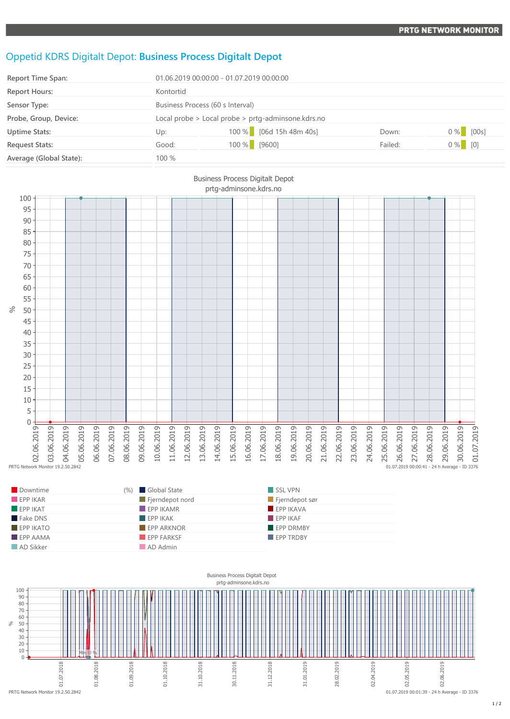## Oppetid KDRS Digitalt Depot: **Business Process Digitalt Depot**

| <b>Report Time Span:</b> | 01.06.2019 00:00:00 - 01.07.2019 00:00:00          |  |                         |         |             |
|--------------------------|----------------------------------------------------|--|-------------------------|---------|-------------|
| <b>Report Hours:</b>     | Kontortid                                          |  |                         |         |             |
| Sensor Type:             | Business Process (60 s Interval)                   |  |                         |         |             |
| Probe, Group, Device:    | Local probe > Local probe > prtg-adminsone.kdrs.no |  |                         |         |             |
| <b>Uptime Stats:</b>     | Up:                                                |  | 100 % [06d 15h 48m 40s] | Down:   | $0\%$ [00s] |
| <b>Request Stats:</b>    | Good:                                              |  | 100 % [9600]            | Failed: | $0\%$ [0]   |
| Average (Global State):  | 100 %                                              |  |                         |         |             |



| Downtime                | (%) Global State         | SSL VPN               |
|-------------------------|--------------------------|-----------------------|
| $\blacksquare$ EPP IKAR | Fjerndepot nord          | $\Box$ Fjerndepot sør |
| EPPIKAT                 | $\blacksquare$ EPP IKAMR | <b>EPP IKAVA</b>      |
| Fake DNS                | $\blacksquare$ EPP IKAK  | $F$ EPP IKAF          |
| <b>EPP IKATO</b>        | <b>EPP ARKNOR</b>        | <b>EPP DRMBY</b>      |
| $EPP$ AAMA              | EPP FARKSF               | EPP TRDBY             |
| AD Sikker               | AD Admin                 |                       |